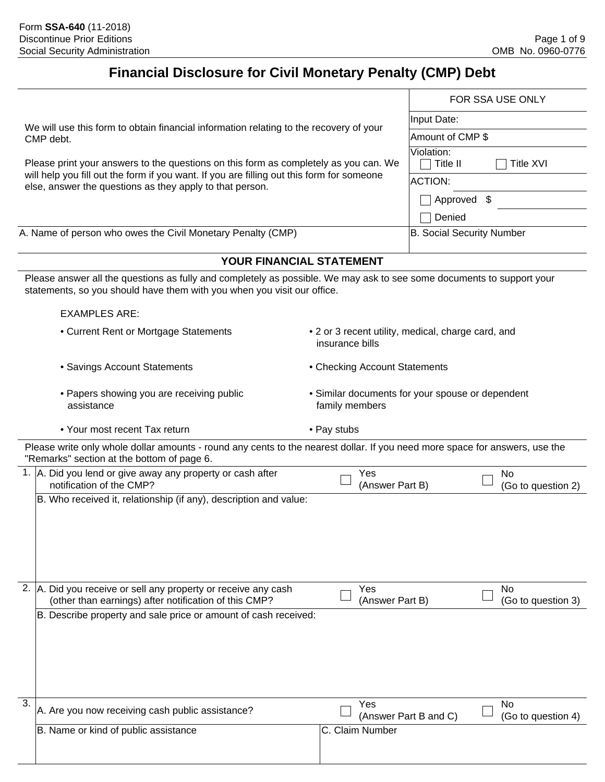# **Financial Disclosure for Civil Monetary Penalty (CMP) Debt**

|                                                                                                                                                                                                  |                                                                       |                                  | FOR SSA USE ONLY                |  |
|--------------------------------------------------------------------------------------------------------------------------------------------------------------------------------------------------|-----------------------------------------------------------------------|----------------------------------|---------------------------------|--|
|                                                                                                                                                                                                  | Input Date:                                                           |                                  |                                 |  |
| We will use this form to obtain financial information relating to the recovery of your<br>CMP debt.                                                                                              | Amount of CMP \$                                                      |                                  |                                 |  |
| Please print your answers to the questions on this form as completely as you can. We                                                                                                             |                                                                       | Violation:<br>Title II           | <b>Title XVI</b>                |  |
| will help you fill out the form if you want. If you are filling out this form for someone<br>else, answer the questions as they apply to that person.                                            |                                                                       | <b>ACTION:</b>                   |                                 |  |
|                                                                                                                                                                                                  |                                                                       | Approved \$                      |                                 |  |
|                                                                                                                                                                                                  |                                                                       | Denied                           |                                 |  |
| A. Name of person who owes the Civil Monetary Penalty (CMP)                                                                                                                                      |                                                                       | <b>B. Social Security Number</b> |                                 |  |
| YOUR FINANCIAL STATEMENT                                                                                                                                                                         |                                                                       |                                  |                                 |  |
| Please answer all the questions as fully and completely as possible. We may ask to see some documents to support your<br>statements, so you should have them with you when you visit our office. |                                                                       |                                  |                                 |  |
| <b>EXAMPLES ARE:</b>                                                                                                                                                                             |                                                                       |                                  |                                 |  |
| • Current Rent or Mortgage Statements                                                                                                                                                            | • 2 or 3 recent utility, medical, charge card, and<br>insurance bills |                                  |                                 |  |
| • Savings Account Statements                                                                                                                                                                     | • Checking Account Statements                                         |                                  |                                 |  |
| • Papers showing you are receiving public<br>assistance                                                                                                                                          | • Similar documents for your spouse or dependent<br>family members    |                                  |                                 |  |
| • Your most recent Tax return                                                                                                                                                                    | • Pay stubs                                                           |                                  |                                 |  |
| Please write only whole dollar amounts - round any cents to the nearest dollar. If you need more space for answers, use the<br>"Remarks" section at the bottom of page 6.                        |                                                                       |                                  |                                 |  |
| 1.  A. Did you lend or give away any property or cash after<br>notification of the CMP?                                                                                                          | Yes<br>(Answer Part B)                                                |                                  | No<br>(Go to question 2)        |  |
| B. Who received it, relationship (if any), description and value:                                                                                                                                |                                                                       |                                  |                                 |  |
| 2. A. Did you receive or sell any property or receive any cash<br>(other than earnings) after notification of this CMP?                                                                          | Yes<br>(Answer Part B)                                                |                                  | <b>No</b><br>(Go to question 3) |  |
| B. Describe property and sale price or amount of cash received:                                                                                                                                  |                                                                       |                                  |                                 |  |
| 3.<br>A. Are you now receiving cash public assistance?                                                                                                                                           | Yes                                                                   | (Answer Part B and C)            | No<br>(Go to question 4)        |  |
| B. Name or kind of public assistance                                                                                                                                                             | C. Claim Number                                                       |                                  |                                 |  |
|                                                                                                                                                                                                  |                                                                       |                                  |                                 |  |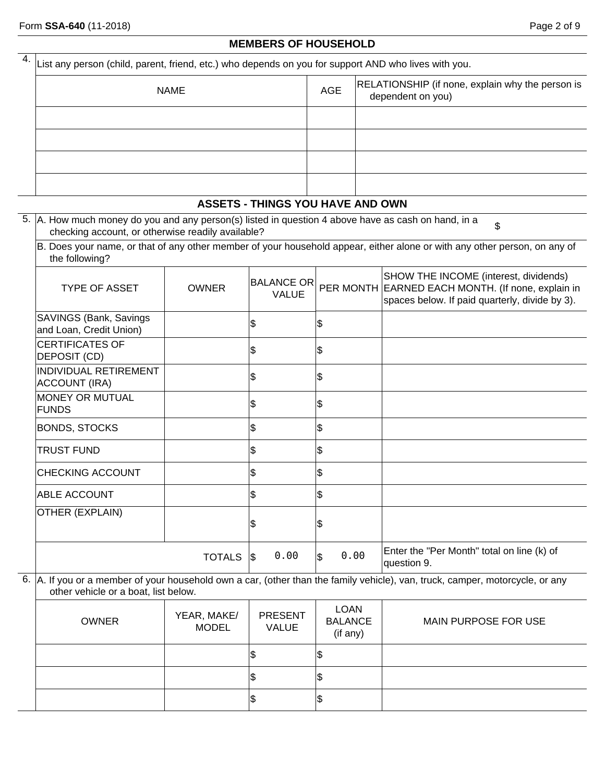## **MEMBERS OF HOUSEHOLD**

| $4.$ $\vert$ List any person (child, parent, friend, etc.) who depends on you for support AND who lives with you. |            |                                                                       |  |  |  |  |  |  |
|-------------------------------------------------------------------------------------------------------------------|------------|-----------------------------------------------------------------------|--|--|--|--|--|--|
| <b>NAME</b>                                                                                                       | <b>AGE</b> | RELATIONSHIP (if none, explain why the person is<br>dependent on you) |  |  |  |  |  |  |
|                                                                                                                   |            |                                                                       |  |  |  |  |  |  |
|                                                                                                                   |            |                                                                       |  |  |  |  |  |  |
|                                                                                                                   |            |                                                                       |  |  |  |  |  |  |
|                                                                                                                   |            |                                                                       |  |  |  |  |  |  |

## **ASSETS - THINGS YOU HAVE AND OWN**

| 5. A. How much money do you and any person(s) listed in question 4 above have as cash on hand, in a |  |
|-----------------------------------------------------------------------------------------------------|--|
| checking account, or otherwise readily available?                                                   |  |

B. Does your name, or that of any other member of your household appear, either alone or with any other person, on any of the following?

| <b>TYPE OF ASSET</b>                              | <b>OWNER</b>  | <b>BALANCE OR</b><br><b>VALUE</b> |            | SHOW THE INCOME (interest, dividends)<br>PER MONTH EARNED EACH MONTH. (If none, explain in<br>spaces below. If paid quarterly, divide by 3). |
|---------------------------------------------------|---------------|-----------------------------------|------------|----------------------------------------------------------------------------------------------------------------------------------------------|
| SAVINGS (Bank, Savings<br>and Loan, Credit Union) |               | \$                                | 5          |                                                                                                                                              |
| <b>CERTIFICATES OF</b><br>DEPOSIT (CD)            |               | \$                                | 5          |                                                                                                                                              |
| <b>INDIVIDUAL RETIREMENT</b><br>ACCOUNT (IRA)     |               | 8                                 | 5          |                                                                                                                                              |
| MONEY OR MUTUAL<br>FUNDS                          |               | \$                                | \$         |                                                                                                                                              |
| <b>BONDS, STOCKS</b>                              |               | \$                                | \$         |                                                                                                                                              |
| <b>TRUST FUND</b>                                 |               | \$                                | 5          |                                                                                                                                              |
| <b>CHECKING ACCOUNT</b>                           |               | ß.                                | 5          |                                                                                                                                              |
| <b>ABLE ACCOUNT</b>                               |               | \$                                | 5          |                                                                                                                                              |
| OTHER (EXPLAIN)                                   |               | ß                                 | \$         |                                                                                                                                              |
|                                                   | <b>TOTALS</b> | 0.00<br>1\$                       | 0.00<br>\$ | Enter the "Per Month" total on line (k) of<br>question 9.                                                                                    |

6. A. If you or a member of your household own a car, (other than the family vehicle), van, truck, camper, motorcycle, or any other vehicle or a boat, list below.

| <b>OWNER</b> | YEAR, MAKE/<br><b>MODEL</b> | <b>PRESENT</b><br><b>VALUE</b> | <b>LOAN</b><br><b>BALANCE</b><br>(if any) | MAIN PURPOSE FOR USE |
|--------------|-----------------------------|--------------------------------|-------------------------------------------|----------------------|
|              |                             | κIJ                            | lΦ                                        |                      |
|              |                             | ∣∾                             | lΦ                                        |                      |
|              |                             | w                              | 12                                        |                      |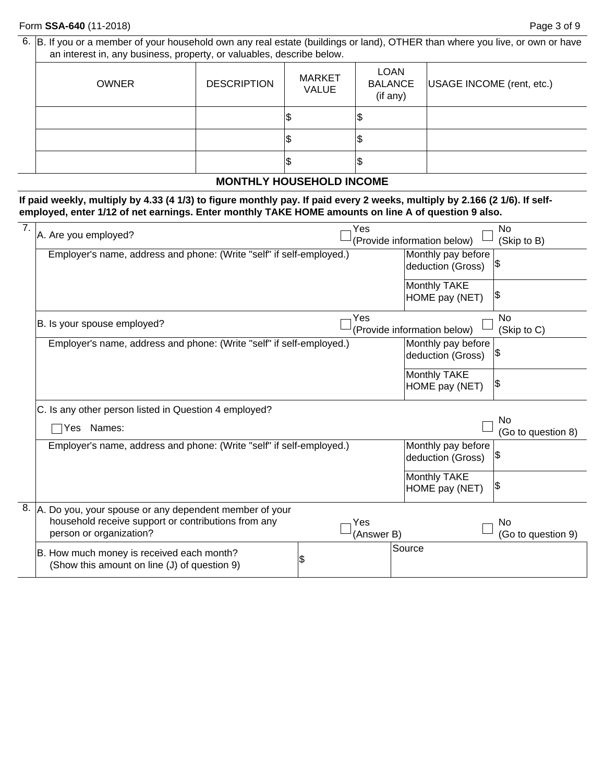6. B. If you or a member of your household own any real estate (buildings or land), OTHER than where you live, or own or have an interest in, any business, property, or valuables, describe below.

| <b>LOAN</b><br><b>MARKET</b><br><b>BALANCE</b><br><b>DESCRIPTION</b><br>USAGE INCOME (rent, etc.)<br><b>OWNER</b><br><b>VALUE</b><br>(if any)<br>1\$<br>Φ<br>1\$<br>1\$<br>۱J |
|-------------------------------------------------------------------------------------------------------------------------------------------------------------------------------|
|                                                                                                                                                                               |
|                                                                                                                                                                               |
|                                                                                                                                                                               |
|                                                                                                                                                                               |

## **MONTHLY HOUSEHOLD INCOME**

**If paid weekly, multiply by 4.33 (4 1/3) to figure monthly pay. If paid every 2 weeks, multiply by 2.166 (2 1/6). If selfemployed, enter 1/12 of net earnings. Enter monthly TAKE HOME amounts on line A of question 9 also.**

| 7. | A. Are you employed?                                                 |    | Yes                |                             | <b>No</b>          |  |  |
|----|----------------------------------------------------------------------|----|--------------------|-----------------------------|--------------------|--|--|
|    |                                                                      |    |                    | (Provide information below) | (Skip to B)        |  |  |
|    | Employer's name, address and phone: (Write "self" if self-employed.) |    |                    | Monthly pay before          |                    |  |  |
|    |                                                                      |    |                    | deduction (Gross)           | 1\$                |  |  |
|    |                                                                      |    |                    | Monthly TAKE                |                    |  |  |
|    |                                                                      |    |                    | HOME pay (NET)              | 1\$                |  |  |
|    |                                                                      |    | Yes                |                             | N <sub>0</sub>     |  |  |
|    | B. Is your spouse employed?                                          |    |                    | (Provide information below) | (Skip to C)        |  |  |
|    | Employer's name, address and phone: (Write "self" if self-employed.) |    |                    | Monthly pay before          |                    |  |  |
|    |                                                                      |    |                    | deduction (Gross)           | 1\$                |  |  |
|    |                                                                      |    |                    | Monthly TAKE                |                    |  |  |
|    |                                                                      |    |                    | HOME pay (NET)              | 1\$                |  |  |
|    | C. Is any other person listed in Question 4 employed?                |    |                    |                             |                    |  |  |
|    |                                                                      |    | No                 |                             |                    |  |  |
|    | Names:<br>Yes                                                        |    | (Go to question 8) |                             |                    |  |  |
|    | Employer's name, address and phone: (Write "self" if self-employed.) |    |                    | Monthly pay before          |                    |  |  |
|    |                                                                      |    |                    | deduction (Gross)           | 1\$                |  |  |
|    |                                                                      |    |                    | Monthly TAKE                |                    |  |  |
|    |                                                                      |    |                    | HOME pay (NET)              | 1\$                |  |  |
| 8. | A. Do you, your spouse or any dependent member of your               |    |                    |                             |                    |  |  |
|    | household receive support or contributions from any                  |    | Yes                |                             | No                 |  |  |
|    | person or organization?                                              |    | (Answer B)         |                             | (Go to question 9) |  |  |
|    | B. How much money is received each month?                            |    |                    | Source                      |                    |  |  |
|    | (Show this amount on line (J) of question 9)                         | \$ |                    |                             |                    |  |  |
|    |                                                                      |    |                    |                             |                    |  |  |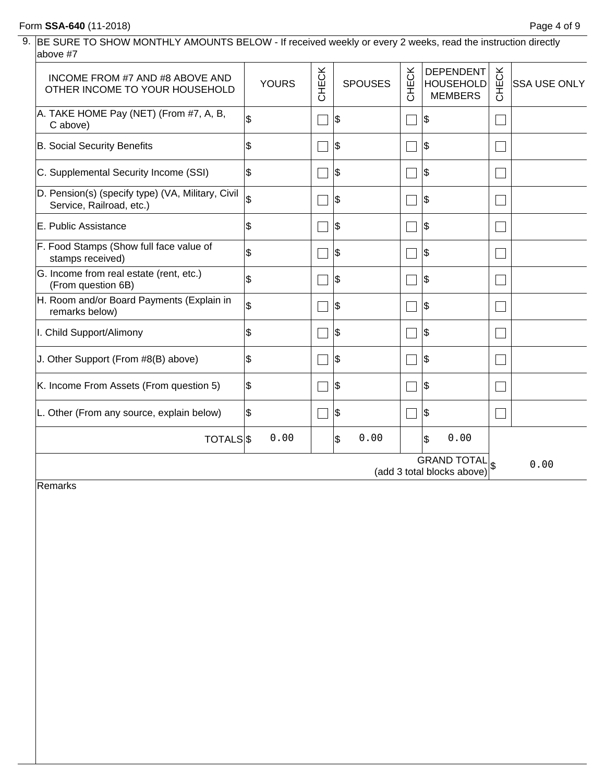# Form **SSA-640** (11-2018) Page 4 of 9

| 9. BE SURE TO SHOW MONTHLY AMOUNTS BELOW - If received weekly or every 2 weeks, read the instruction directly |
|---------------------------------------------------------------------------------------------------------------|
| above #7                                                                                                      |

| INCOME FROM #7 AND #8 ABOVE AND<br>OTHER INCOME TO YOUR HOUSEHOLD             | <b>YOURS</b>             | CHECK | <b>SPOUSES</b> | CHECK | <b>DEPENDENT</b><br><b>HOUSEHOLD</b><br><b>MEMBERS</b>       | CHECK | <b>SSA USE ONLY</b> |
|-------------------------------------------------------------------------------|--------------------------|-------|----------------|-------|--------------------------------------------------------------|-------|---------------------|
| A. TAKE HOME Pay (NET) (From #7, A, B,<br>C above)                            | \$                       |       | \$             |       | Ι\$                                                          |       |                     |
| B. Social Security Benefits                                                   | \$                       |       | \$             |       | \$                                                           |       |                     |
| C. Supplemental Security Income (SSI)                                         | \$                       |       | \$             |       | \$                                                           |       |                     |
| D. Pension(s) (specify type) (VA, Military, Civil<br>Service, Railroad, etc.) | $\overline{\mathcal{E}}$ |       | \$             |       | Ι\$                                                          |       |                     |
| E. Public Assistance                                                          | \$                       |       | \$             |       | \$                                                           |       |                     |
| F. Food Stamps (Show full face value of<br>stamps received)                   | \$                       |       | \$             |       | \$                                                           |       |                     |
| G. Income from real estate (rent, etc.)<br>(From question 6B)                 | \$                       |       | Ι\$            |       | Ι\$                                                          |       |                     |
| H. Room and/or Board Payments (Explain in<br>remarks below)                   | \$                       |       | \$             |       | \$                                                           |       |                     |
| I. Child Support/Alimony                                                      | \$                       |       | \$             |       | Ι\$                                                          |       |                     |
| J. Other Support (From #8(B) above)                                           | \$                       |       | \$             |       | \$                                                           |       |                     |
| K. Income From Assets (From question 5)                                       | \$                       |       | \$             |       | \$                                                           |       |                     |
| L. Other (From any source, explain below)                                     | \$                       |       | \$             |       | \$                                                           |       |                     |
| TOTALS <sub>S</sub>                                                           | 0.00                     |       | 0.00<br>\$     |       | 0.00<br>\$                                                   |       |                     |
|                                                                               |                          |       |                |       | <b>GRAND TOTAL<sub>S</sub></b><br>(add 3 total blocks above) |       | 0.00                |

Remarks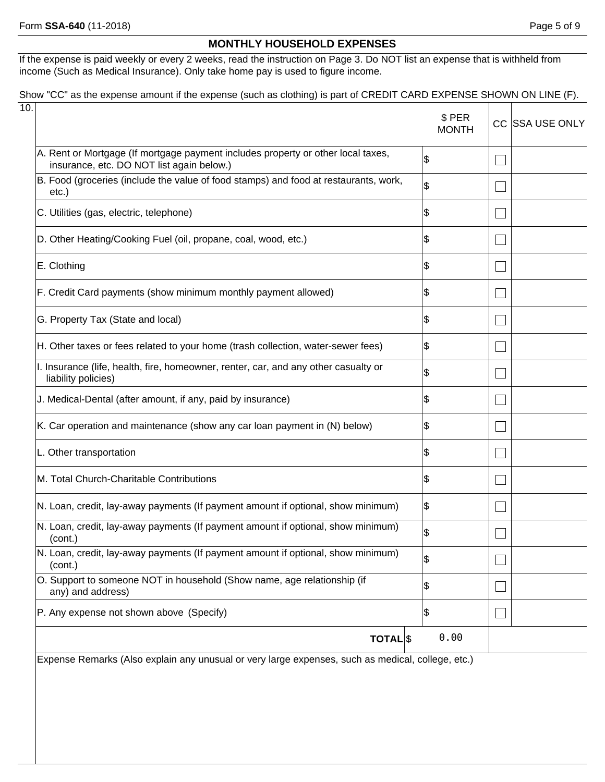## **MONTHLY HOUSEHOLD EXPENSES**

If the expense is paid weekly or every 2 weeks, read the instruction on Page 3. Do NOT list an expense that is withheld from income (Such as Medical Insurance). Only take home pay is used to figure income.

## Show "CC" as the expense amount if the expense (such as clothing) is part of CREDIT CARD EXPENSE SHOWN ON LINE (F).

|                                                                                                                               | \$ PER<br><b>MONTH</b> | <b>CC ISSA USE ONLY</b> |
|-------------------------------------------------------------------------------------------------------------------------------|------------------------|-------------------------|
| A. Rent or Mortgage (If mortgage payment includes property or other local taxes,<br>insurance, etc. DO NOT list again below.) | \$                     |                         |
| B. Food (groceries (include the value of food stamps) and food at restaurants, work,<br>etc.)                                 | \$                     |                         |
| C. Utilities (gas, electric, telephone)                                                                                       | \$                     |                         |
| D. Other Heating/Cooking Fuel (oil, propane, coal, wood, etc.)                                                                | \$                     |                         |
| E. Clothing                                                                                                                   | \$                     |                         |
| F. Credit Card payments (show minimum monthly payment allowed)                                                                | \$                     |                         |
| G. Property Tax (State and local)                                                                                             | \$                     |                         |
| H. Other taxes or fees related to your home (trash collection, water-sewer fees)                                              | \$                     |                         |
| I. Insurance (life, health, fire, homeowner, renter, car, and any other casualty or<br>liability policies)                    | \$                     |                         |
| J. Medical-Dental (after amount, if any, paid by insurance)                                                                   | \$                     |                         |
| K. Car operation and maintenance (show any car loan payment in (N) below)                                                     | \$                     |                         |
| L. Other transportation                                                                                                       | \$                     |                         |
| M. Total Church-Charitable Contributions                                                                                      | \$                     |                         |
| N. Loan, credit, lay-away payments (If payment amount if optional, show minimum)                                              | \$                     |                         |
| N. Loan, credit, lay-away payments (If payment amount if optional, show minimum)<br>(cont.)                                   | \$                     |                         |
| N. Loan, credit, lay-away payments (If payment amount if optional, show minimum)<br>(cont.)                                   | \$                     |                         |
| O. Support to someone NOT in household (Show name, age relationship (if<br>any) and address)                                  | \$                     |                         |
| P. Any expense not shown above (Specify)                                                                                      | \$                     |                         |
| <b>TOTAL</b> <sup>\$</sup>                                                                                                    | 0.00                   |                         |

Expense Remarks (Also explain any unusual or very large expenses, such as medical, college, etc.)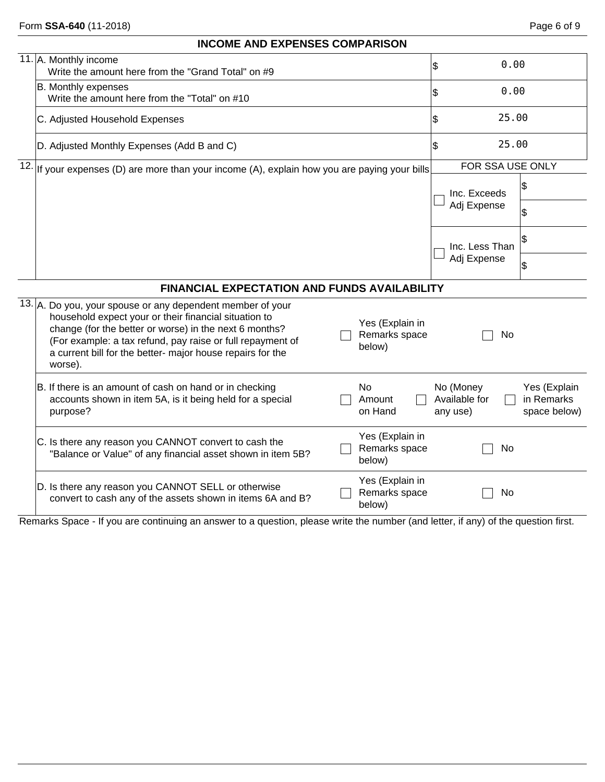## **INCOME AND EXPENSES COMPARISON**

| 11. A. Monthly income<br>Write the amount here from the "Grand Total" on #9                                                                                                                                                                                                                                                                                        | 0.00<br>\$                                                                           |
|--------------------------------------------------------------------------------------------------------------------------------------------------------------------------------------------------------------------------------------------------------------------------------------------------------------------------------------------------------------------|--------------------------------------------------------------------------------------|
| B. Monthly expenses<br>Write the amount here from the "Total" on #10                                                                                                                                                                                                                                                                                               | 0.00<br>\$                                                                           |
| C. Adjusted Household Expenses                                                                                                                                                                                                                                                                                                                                     | 25.00<br>\$                                                                          |
| D. Adjusted Monthly Expenses (Add B and C)                                                                                                                                                                                                                                                                                                                         | 25.00<br>\$                                                                          |
| $12.$ If your expenses (D) are more than your income (A), explain how you are paying your bills                                                                                                                                                                                                                                                                    | FOR SSA USE ONLY                                                                     |
|                                                                                                                                                                                                                                                                                                                                                                    | Ι\$<br>Inc. Exceeds                                                                  |
|                                                                                                                                                                                                                                                                                                                                                                    | Adj Expense<br>\$                                                                    |
|                                                                                                                                                                                                                                                                                                                                                                    | Ι\$<br>Inc. Less Than                                                                |
|                                                                                                                                                                                                                                                                                                                                                                    | Adj Expense<br> \$                                                                   |
| <b>FINANCIAL EXPECTATION AND FUNDS AVAILABILITY</b>                                                                                                                                                                                                                                                                                                                |                                                                                      |
| 13. A. Do you, your spouse or any dependent member of your<br>household expect your or their financial situation to<br>Yes (Explain in<br>change (for the better or worse) in the next 6 months?<br>Remarks space<br>(For example: a tax refund, pay raise or full repayment of<br>below)<br>a current bill for the better- major house repairs for the<br>worse). | No                                                                                   |
| B. If there is an amount of cash on hand or in checking<br>No<br>accounts shown in item 5A, is it being held for a special<br>Amount<br>purpose?<br>on Hand                                                                                                                                                                                                        | No (Money<br>Yes (Explain<br>Available for<br>in Remarks<br>space below)<br>any use) |
| Yes (Explain in<br>C. Is there any reason you CANNOT convert to cash the<br>Remarks space<br>"Balance or Value" of any financial asset shown in item 5B?<br>below)                                                                                                                                                                                                 | No                                                                                   |
| Yes (Explain in<br>D. Is there any reason you CANNOT SELL or otherwise<br>Remarks space<br>convert to cash any of the assets shown in items 6A and B?<br>below)                                                                                                                                                                                                    | No                                                                                   |

Remarks Space - If you are continuing an answer to a question, please write the number (and letter, if any) of the question first.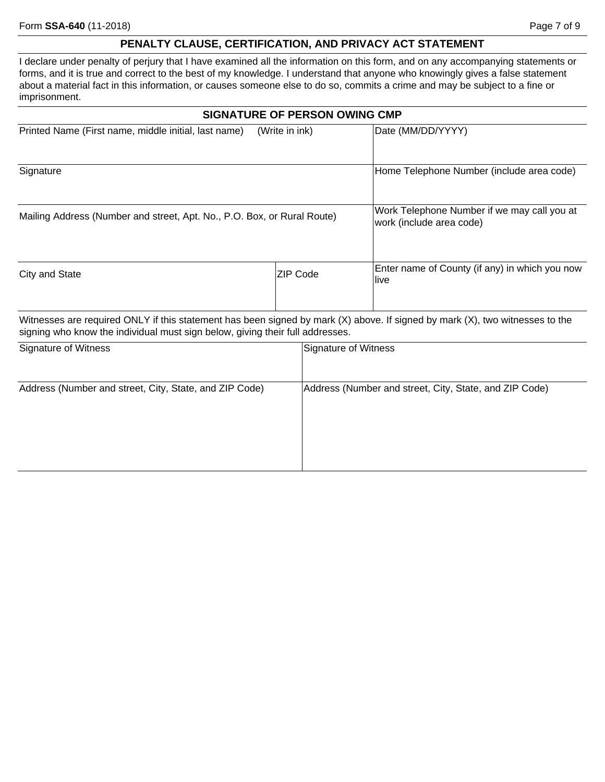## **PENALTY CLAUSE, CERTIFICATION, AND PRIVACY ACT STATEMENT**

I declare under penalty of perjury that I have examined all the information on this form, and on any accompanying statements or forms, and it is true and correct to the best of my knowledge. I understand that anyone who knowingly gives a false statement about a material fact in this information, or causes someone else to do so, commits a crime and may be subject to a fine or imprisonment.

| <b>SIGNATURE OF PERSON OWING CMP</b>                                                                                         |                |                                                                         |  |  |
|------------------------------------------------------------------------------------------------------------------------------|----------------|-------------------------------------------------------------------------|--|--|
| Printed Name (First name, middle initial, last name)                                                                         | (Write in ink) | Date (MM/DD/YYYY)                                                       |  |  |
| Signature                                                                                                                    |                | Home Telephone Number (include area code)                               |  |  |
| Mailing Address (Number and street, Apt. No., P.O. Box, or Rural Route)                                                      |                | Work Telephone Number if we may call you at<br>work (include area code) |  |  |
| City and State                                                                                                               | ZIP Code       | Enter name of County (if any) in which you now<br>llive                 |  |  |
| Witnesses are required ONLY if this statement has been signed by mark (X) above. If signed by mark (X), two witnesses to the |                |                                                                         |  |  |

signing who know the individual must sign below, giving their full addresses.

| Signature of Witness                                   | Signature of Witness                                   |
|--------------------------------------------------------|--------------------------------------------------------|
| Address (Number and street, City, State, and ZIP Code) | Address (Number and street, City, State, and ZIP Code) |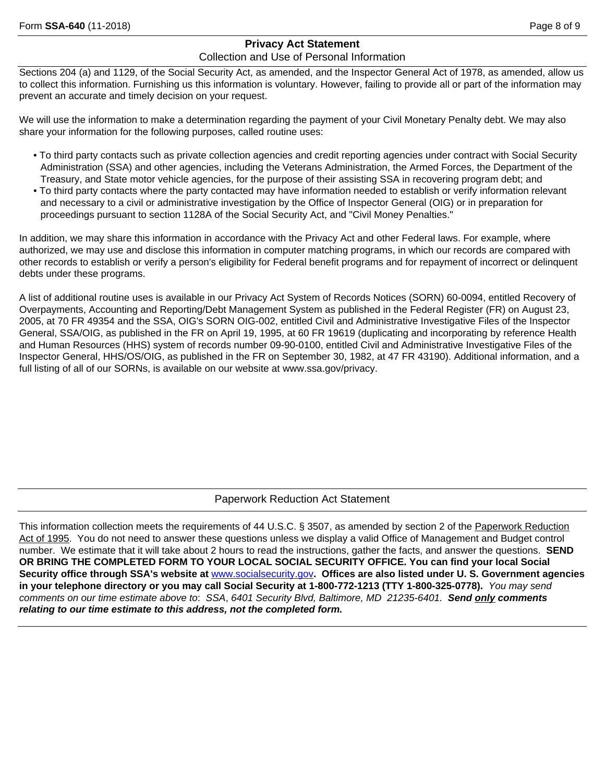## **Privacy Act Statement**

## Collection and Use of Personal Information

Sections 204 (a) and 1129, of the Social Security Act, as amended, and the Inspector General Act of 1978, as amended, allow us to collect this information. Furnishing us this information is voluntary. However, failing to provide all or part of the information may prevent an accurate and timely decision on your request.

We will use the information to make a determination regarding the payment of your Civil Monetary Penalty debt. We may also share your information for the following purposes, called routine uses:

- To third party contacts such as private collection agencies and credit reporting agencies under contract with Social Security Administration (SSA) and other agencies, including the Veterans Administration, the Armed Forces, the Department of the Treasury, and State motor vehicle agencies, for the purpose of their assisting SSA in recovering program debt; and
- To third party contacts where the party contacted may have information needed to establish or verify information relevant and necessary to a civil or administrative investigation by the Office of Inspector General (OIG) or in preparation for proceedings pursuant to section 1128A of the Social Security Act, and "Civil Money Penalties."

In addition, we may share this information in accordance with the Privacy Act and other Federal laws. For example, where authorized, we may use and disclose this information in computer matching programs, in which our records are compared with other records to establish or verify a person's eligibility for Federal benefit programs and for repayment of incorrect or delinquent debts under these programs.

A list of additional routine uses is available in our Privacy Act System of Records Notices (SORN) 60-0094, entitled Recovery of Overpayments, Accounting and Reporting/Debt Management System as published in the Federal Register (FR) on August 23, 2005, at 70 FR 49354 and the SSA, OIG's SORN OIG-002, entitled Civil and Administrative Investigative Files of the Inspector General, SSA/OIG, as published in the FR on April 19, 1995, at 60 FR 19619 (duplicating and incorporating by reference Health and Human Resources (HHS) system of records number 09-90-0100, entitled Civil and Administrative Investigative Files of the Inspector General, HHS/OS/OIG, as published in the FR on September 30, 1982, at 47 FR 43190). Additional information, and a full listing of all of our SORNs, is available on our website at www.ssa.gov/privacy.

## Paperwork Reduction Act Statement

This information collection meets the requirements of 44 U.S.C. § 3507, as amended by section 2 of the Paperwork Reduction Act of 1995. You do not need to answer these questions unless we display a valid Office of Management and Budget control number. We estimate that it will take about 2 hours to read the instructions, gather the facts, and answer the questions. **SEND OR BRING THE COMPLETED FORM TO YOUR LOCAL SOCIAL SECURITY OFFICE. You can find your local Social Security office through SSA's website at** www.socialsecurity.gov**. Offices are also listed under U. S. Government agencies in your telephone directory or you may call Social Security at 1-800-772-1213 (TTY 1-800-325-0778).** *You may send comments on our time estimate above to*: *SSA*, *6401 Security Blvd, Baltimore, MD 21235-6401. Send only comments relating to our time estimate to this address, not the completed form.*